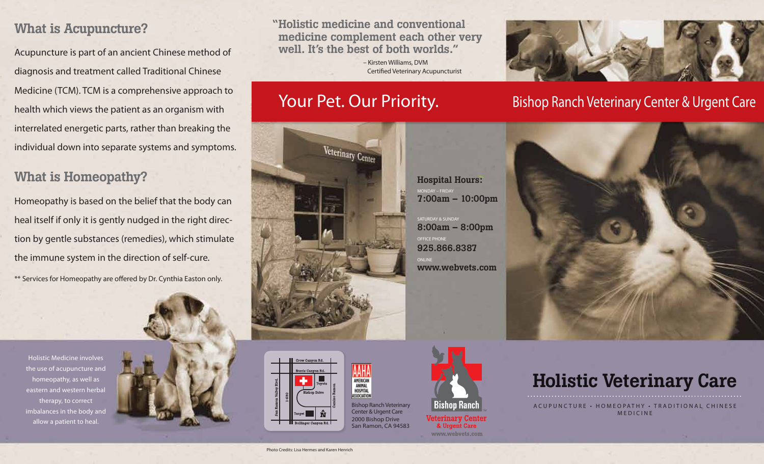## What is Acupuncture?

Acupuncture is part of an ancient Chinese method of diagnosis and treatment called Traditional Chinese Medicine (TCM). TCM is a comprehensive approach to health which views the patient as an organism with interrelated energetic parts, rather than breaking the individual down into separate systems and symptoms.

## What is Homeopathy?

Homeopathy is based on the belief that the body can heal itself if only it is gently nudged in the right direction by gentle substances (remedies), which stimulate the immune system in the direction of self-cure.

\*\* Services for Homeopathy are offered by Dr. Cynthia Easton only.

Holistic Medicine involves the use of acupuncture and homeopathy, as well as eastern and western herbal therapy, to correct imbalances in the body and allow a patient to heal.



"Holistic medicine and conventional medicine complement each other very well. It's the best of both worlds."

> **Bishop Ranch Veterinary Center & Urgent Care** 2000 Bishop Drive San Ramon, CA 94583

**AAHA ANIMAL**<br>HOSPITAL **ASSOCIATION** 

 – Kirsten Williams, DVM **Certified Veterinary Acupuncturist** 





## Your Pet. Our Priority. Bishop Ranch Veterinary Center & Urgent Care





# Holistic Veterinary Care

ACUPUNC TURE • HOMEOPATHY • TRADITIONAL CHINESE MEDICINE

Photo Credits: Lisa Hermes and Karen Henrich